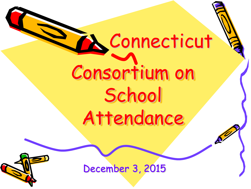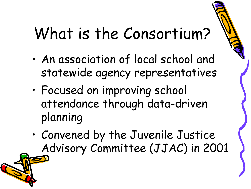## What is the Consortium?

- An association of local school and statewide agency representatives
- Focused on improving school attendance through data-driven planning
- Convened by the Juvenile Justice Advisory Committee (JJAC) in 2001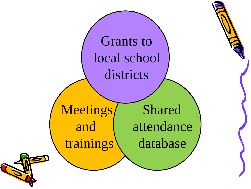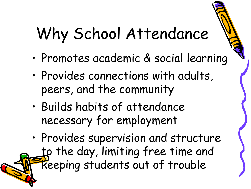# Why School Attendance

- Promotes academic & social learning
- Provides connections with adults, peers, and the community
- Builds habits of attendance necessary for employment
- Provides supervision and structure to the day, limiting free time and keeping students out of trouble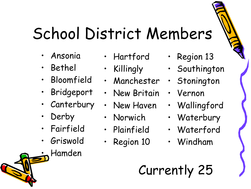# School District Members

- Ansonia
- Bethel
- Bloomfield
- Bridgeport
- Canterbury
- **Derby**
- **Fairfield**
- Griswold
	- Hamden
- Hartford
- Killingly
- Manchester
- New Britain
- New Haven
- Norwich
- Plainfield
- Region 10
- Region 13
- Southington
- Stonington
- Vernon
- Wallingford
- Waterbury
- Waterford
- Windham

#### Currently 25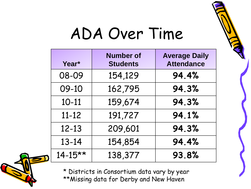

### ADA Over Time

| Year*       | <b>Number of</b><br><b>Students</b> | <b>Average Daily</b><br><b>Attendance</b> |
|-------------|-------------------------------------|-------------------------------------------|
| 08-09       | 154,129                             | 94.4%                                     |
| 09-10       | 162,795                             | 94.3%                                     |
| $10 - 11$   | 159,674                             | 94.3%                                     |
| $11 - 12$   | 191,727                             | 94.1%                                     |
| $12 - 13$   | 209,601                             | 94.3%                                     |
| $13 - 14$   | 154,854                             | 94.4%                                     |
| $14 - 15**$ | 138,377                             | 93.8%                                     |



\* Districts in Consortium data vary by year \*\*Missing data for Derby and New Haven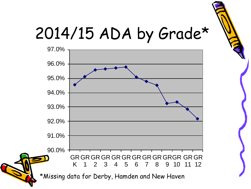

### 2014/15 ADA by Grade\*

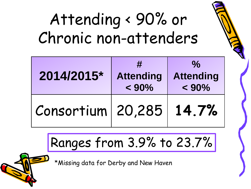## Attending < 90% or Chronic non-attenders

| 2014/2015*                | #<br><b>Attending</b><br>$< 90\%$ | $\frac{0}{\alpha}$<br><b>Attending</b><br>$< 90\%$ |
|---------------------------|-----------------------------------|----------------------------------------------------|
| Consortium 20,285   14.7% |                                   |                                                    |

#### Ranges from 3.9% to 23.7%

\*Missing data for Derby and New Haven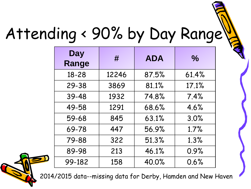# Attending < 90% by Day Range

| <b>Day</b><br>Range | #     | <b>ADA</b> | $\frac{1}{2}$ |
|---------------------|-------|------------|---------------|
| 18-28               | 12246 | 87.5%      | 61.4%         |
| 29-38               | 3869  | 81.1%      | 17.1%         |
| 39-48               | 1932  | 74.8%      | 7.4%          |
| 49-58               | 1291  | 68.6%      | 4.6%          |
| 59-68               | 845   | 63.1%      | 3.0%          |
| 69-78               | 447   | 56.9%      | 1.7%          |
| 79-88               | 322   | 51.3%      | 1.3%          |
| 89-98               | 213   | 46.1%      | 0.9%          |
| 99-182              | 158   | 40.0%      | 0.6%          |



2014/2015 data--missing data for Derby, Hamden and New Haven